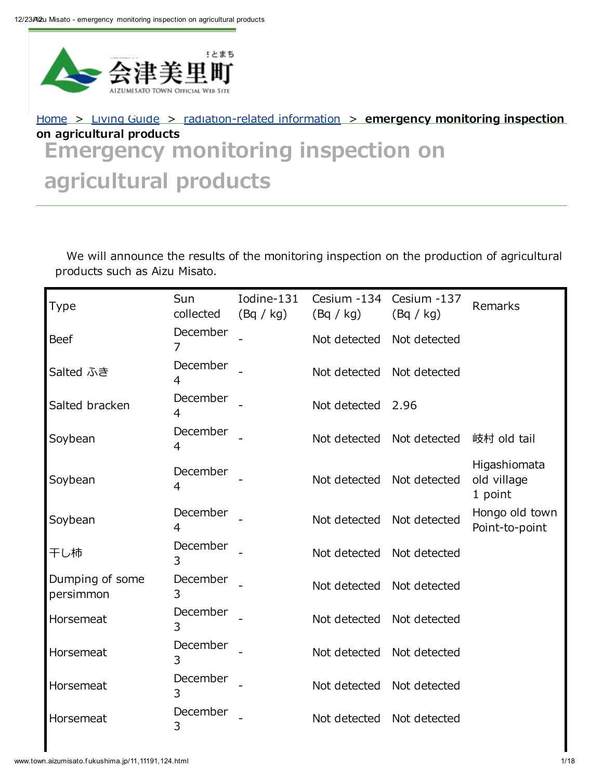

# Emergency monitoring inspection on agricultural products [Home](http://www.town.aizumisato.fukushima.jp/1.html) > [Living](http://www.town.aizumisato.fukushima.jp/11.html) Guide > [radiation-related](http://www.town.aizumisato.fukushima.jp/11,0,124.html) information > emergency monitoring inspection on agricultural products

We will announce the results of the monitoring inspection on the production of agricultural products such as Aizu Misato.

| Type                         | Sun<br>collected | Iodine-131<br>(Bq / kg) | Cesium -134<br>(Bq / kg)  | Cesium -137<br>(Bq / kg)  | Remarks                                |
|------------------------------|------------------|-------------------------|---------------------------|---------------------------|----------------------------------------|
| <b>Beef</b>                  | December<br>7    |                         | Not detected              | Not detected              |                                        |
| Salted ふき                    | December<br>4    |                         | Not detected Not detected |                           |                                        |
| Salted bracken               | December<br>4    |                         | Not detected 2.96         |                           |                                        |
| Soybean                      | December<br>4    |                         |                           | Not detected Not detected | 岐村 old tail                            |
| Soybean                      | December<br>4    |                         | Not detected Not detected |                           | Higashiomata<br>old village<br>1 point |
| Soybean                      | December<br>4    |                         | Not detected Not detected |                           | Hongo old town<br>Point-to-point       |
| 干し柿                          | December<br>3    |                         | Not detected Not detected |                           |                                        |
| Dumping of some<br>persimmon | December<br>3    |                         | Not detected Not detected |                           |                                        |
| Horsemeat                    | December<br>3    |                         | Not detected              | Not detected              |                                        |
| Horsemeat                    | December<br>3    |                         | Not detected Not detected |                           |                                        |
| Horsemeat                    | December<br>3    |                         | Not detected              | Not detected              |                                        |
| Horsemeat                    | December<br>3    |                         | Not detected              | Not detected              |                                        |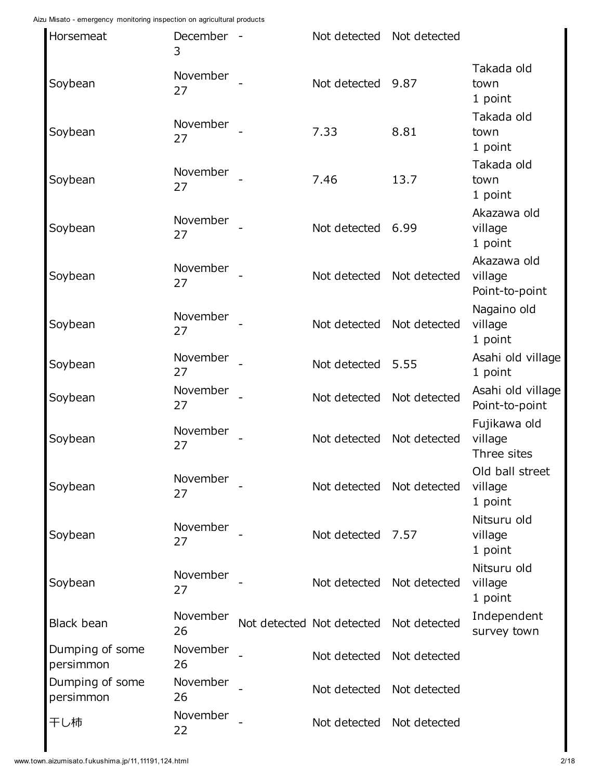| Horsemeat                    | December -<br>3 | Not detected Not detected |              |                                          |
|------------------------------|-----------------|---------------------------|--------------|------------------------------------------|
| Soybean                      | November<br>27  | Not detected 9.87         |              | Takada old<br>town<br>1 point            |
| Soybean                      | November<br>27  | 7.33                      | 8.81         | Takada old<br>town<br>1 point            |
| Soybean                      | November<br>27  | 7.46                      | 13.7         | Takada old<br>town<br>1 point            |
| Soybean                      | November<br>27  | Not detected              | 6.99         | Akazawa old<br>village<br>1 point        |
| Soybean                      | November<br>27  | Not detected              | Not detected | Akazawa old<br>village<br>Point-to-point |
| Soybean                      | November<br>27  | Not detected              | Not detected | Nagaino old<br>village<br>1 point        |
| Soybean                      | November<br>27  | Not detected              | 5.55         | Asahi old village<br>1 point             |
| Soybean                      | November<br>27  | Not detected              | Not detected | Asahi old village<br>Point-to-point      |
| Soybean                      | November<br>27  | Not detected              | Not detected | Fujikawa old<br>village<br>Three sites   |
| Soybean                      | November<br>27  | Not detected Not detected |              | Old ball street<br>village<br>1 point    |
| Soybean                      | November<br>27  | Not detected              | 7.57         | Nitsuru old<br>village<br>1 point        |
| Soybean                      | November<br>27  | Not detected              | Not detected | Nitsuru old<br>village<br>1 point        |
| Black bean                   | November<br>26  | Not detected Not detected | Not detected | Independent<br>survey town               |
| Dumping of some<br>persimmon | November<br>26  | Not detected              | Not detected |                                          |
| Dumping of some<br>persimmon | November<br>26  | Not detected              | Not detected |                                          |
| 干し柿                          | November<br>22  | Not detected              | Not detected |                                          |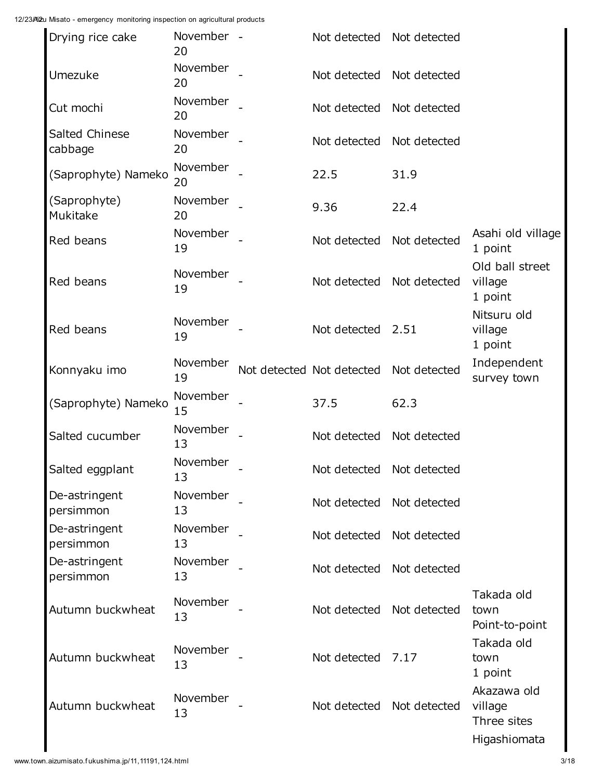| Drying rice cake           | November -<br>20 | Not detected Not detected |              |                                                       |
|----------------------------|------------------|---------------------------|--------------|-------------------------------------------------------|
| Umezuke                    | November<br>20   | Not detected              | Not detected |                                                       |
| Cut mochi                  | November<br>20   | Not detected              | Not detected |                                                       |
| Salted Chinese<br>cabbage  | November<br>20   | Not detected              | Not detected |                                                       |
| (Saprophyte) Nameko        | November<br>20   | 22.5                      | 31.9         |                                                       |
| (Saprophyte)<br>Mukitake   | November<br>20   | 9.36                      | 22.4         |                                                       |
| Red beans                  | November<br>19   | Not detected              | Not detected | Asahi old village<br>1 point                          |
| Red beans                  | November<br>19   | Not detected              | Not detected | Old ball street<br>village<br>1 point                 |
| Red beans                  | November<br>19   | Not detected 2.51         |              | Nitsuru old<br>village<br>1 point                     |
| Konnyaku imo               | November<br>19   | Not detected Not detected | Not detected | Independent<br>survey town                            |
| (Saprophyte) Nameko        | November<br>15   | 37.5                      | 62.3         |                                                       |
| Salted cucumber            | November<br>13   | Not detected              | Not detected |                                                       |
| Salted eggplant            | November<br>13   | Not detected Not detected |              |                                                       |
| De-astringent<br>persimmon | November<br>13   | Not detected              | Not detected |                                                       |
| De-astringent<br>persimmon | November<br>13   | Not detected              | Not detected |                                                       |
| De-astringent<br>persimmon | November<br>13   | Not detected              | Not detected |                                                       |
| Autumn buckwheat           | November<br>13   | Not detected              | Not detected | Takada old<br>town<br>Point-to-point                  |
| Autumn buckwheat           | November<br>13   | Not detected              | 7.17         | Takada old<br>town<br>1 point                         |
| Autumn buckwheat           | November<br>13   | Not detected              | Not detected | Akazawa old<br>village<br>Three sites<br>Higashiomata |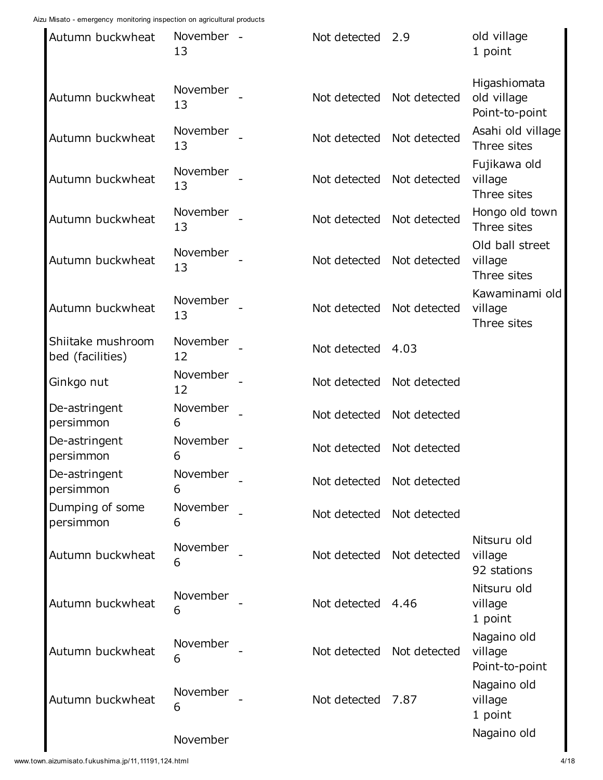| Autumn buckwheat                      | November -<br>13 | Not detected | 2.9          | old village<br>1 point                        |
|---------------------------------------|------------------|--------------|--------------|-----------------------------------------------|
| Autumn buckwheat                      | November<br>13   | Not detected | Not detected | Higashiomata<br>old village<br>Point-to-point |
| Autumn buckwheat                      | November<br>13   | Not detected | Not detected | Asahi old village<br>Three sites              |
| Autumn buckwheat                      | November<br>13   | Not detected | Not detected | Fujikawa old<br>village<br>Three sites        |
| Autumn buckwheat                      | November<br>13   | Not detected | Not detected | Hongo old town<br>Three sites                 |
| Autumn buckwheat                      | November<br>13   | Not detected | Not detected | Old ball street<br>village<br>Three sites     |
| Autumn buckwheat                      | November<br>13   | Not detected | Not detected | Kawaminami old<br>village<br>Three sites      |
| Shiitake mushroom<br>bed (facilities) | November<br>12   | Not detected | 4.03         |                                               |
| Ginkgo nut                            | November<br>12   | Not detected | Not detected |                                               |
| De-astringent<br>persimmon            | November<br>6    | Not detected | Not detected |                                               |
| De-astringent<br>persimmon            | November<br>6    | Not detected | Not detected |                                               |
| De-astringent<br>persimmon            | November<br>6    | Not detected | Not detected |                                               |
| Dumping of some<br>persimmon          | November<br>6    | Not detected | Not detected |                                               |
| Autumn buckwheat                      | November<br>6    | Not detected | Not detected | Nitsuru old<br>village<br>92 stations         |
| Autumn buckwheat                      | November<br>6    | Not detected | 4.46         | Nitsuru old<br>village<br>1 point             |
| Autumn buckwheat                      | November<br>6    | Not detected | Not detected | Nagaino old<br>village<br>Point-to-point      |
| Autumn buckwheat                      | November<br>6    | Not detected | 7.87         | Nagaino old<br>village<br>1 point             |
|                                       | November         |              |              | Nagaino old                                   |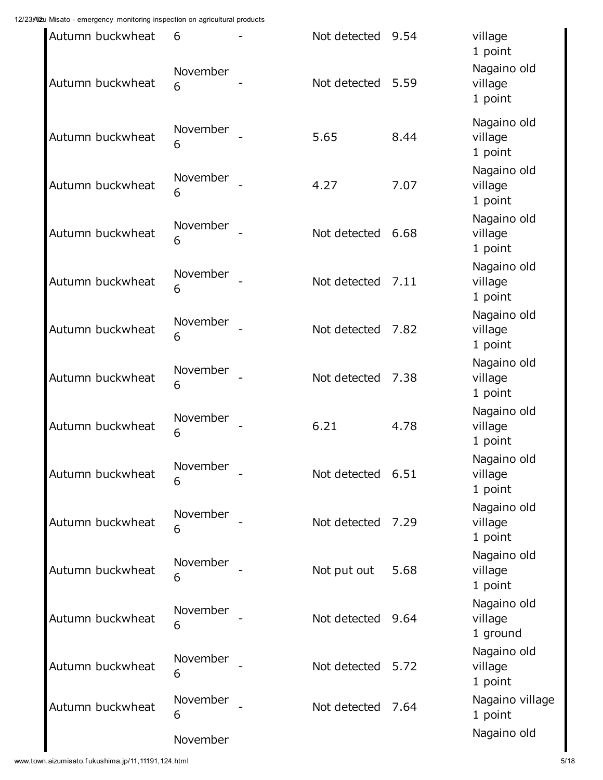| Autumn buckwheat<br>Autumn buckwheat | 6<br>November<br>6 | Not detected<br>Not detected | 9.54<br>5.59 | village<br>1 point<br>Nagaino old<br>village<br>1 point |
|--------------------------------------|--------------------|------------------------------|--------------|---------------------------------------------------------|
| Autumn buckwheat                     | November<br>6      | 5.65                         | 8.44         | Nagaino old<br>village<br>1 point                       |
| Autumn buckwheat                     | November<br>6      | 4.27                         | 7.07         | Nagaino old<br>village<br>1 point                       |
| Autumn buckwheat                     | November<br>6      | Not detected                 | 6.68         | Nagaino old<br>village<br>1 point                       |
| Autumn buckwheat                     | November<br>6      | Not detected                 | 7.11         | Nagaino old<br>village<br>1 point                       |
| Autumn buckwheat                     | November<br>6      | Not detected                 | 7.82         | Nagaino old<br>village<br>1 point                       |
| Autumn buckwheat                     | November<br>6      | Not detected                 | 7.38         | Nagaino old<br>village<br>1 point                       |
| Autumn buckwheat                     | November<br>6      | 6.21                         | 4.78         | Nagaino old<br>village<br>1 point                       |
| Autumn buckwheat                     | November<br>6      | Not detected                 | 6.51         | Nagaino old<br>village<br>1 point                       |
| Autumn buckwheat                     | November<br>6      | Not detected                 | 7.29         | Nagaino old<br>village<br>1 point                       |
| Autumn buckwheat                     | November<br>6      | Not put out                  | 5.68         | Nagaino old<br>village<br>1 point                       |
| Autumn buckwheat                     | November<br>6      | Not detected                 | 9.64         | Nagaino old<br>village<br>1 ground                      |
| Autumn buckwheat                     | November<br>6      | Not detected                 | 5.72         | Nagaino old<br>village<br>1 point                       |
| Autumn buckwheat                     | November<br>6      | Not detected                 | 7.64         | Nagaino village<br>1 point                              |
|                                      | November           |                              |              | Nagaino old                                             |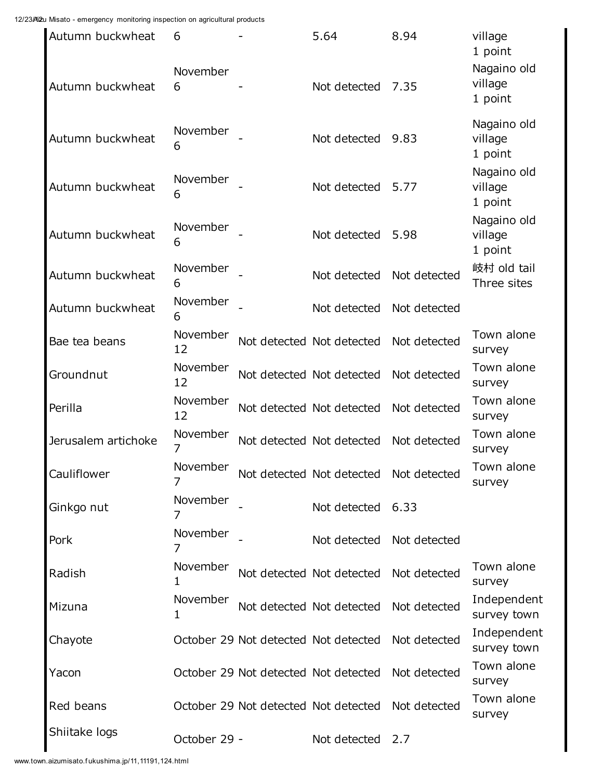| Autumn buckwheat    | 6              | 5.64                                 | 8.94         | village<br>1 point                |
|---------------------|----------------|--------------------------------------|--------------|-----------------------------------|
| Autumn buckwheat    | November<br>6  | Not detected                         | 7.35         | Nagaino old<br>village<br>1 point |
| Autumn buckwheat    | November<br>6  | Not detected                         | 9.83         | Nagaino old<br>village<br>1 point |
| Autumn buckwheat    | November<br>6  | Not detected                         | 5.77         | Nagaino old<br>village<br>1 point |
| Autumn buckwheat    | November<br>6  | Not detected                         | 5.98         | Nagaino old<br>village<br>1 point |
| Autumn buckwheat    | November<br>6  | Not detected                         | Not detected | 岐村 old tail<br>Three sites        |
| Autumn buckwheat    | November<br>6  | Not detected                         | Not detected |                                   |
| Bae tea beans       | November<br>12 | Not detected Not detected            | Not detected | Town alone<br>survey              |
| Groundnut           | November<br>12 | Not detected Not detected            | Not detected | Town alone<br>survey              |
| Perilla             | November<br>12 | Not detected Not detected            | Not detected | Town alone<br>survey              |
| Jerusalem artichoke | November<br>7  | Not detected Not detected            | Not detected | Town alone<br>survey              |
| Cauliflower         | November<br>7  | Not detected Not detected            | Not detected | Town alone<br>survey              |
| Ginkgo nut          | November<br>7  | Not detected 6.33                    |              |                                   |
| Pork                | November       | Not detected Not detected            |              |                                   |
| Radish              | November<br>1  | Not detected Not detected            | Not detected | Town alone<br>survey              |
| Mizuna              | November<br>1  | Not detected Not detected            | Not detected | Independent<br>survey town        |
| Chayote             |                | October 29 Not detected Not detected | Not detected | Independent<br>survey town        |
| Yacon               |                | October 29 Not detected Not detected | Not detected | Town alone<br>survey              |
| Red beans           |                | October 29 Not detected Not detected | Not detected | Town alone<br>survey              |
| Shiitake logs       | October 29 -   | Not detected                         | 2.7          |                                   |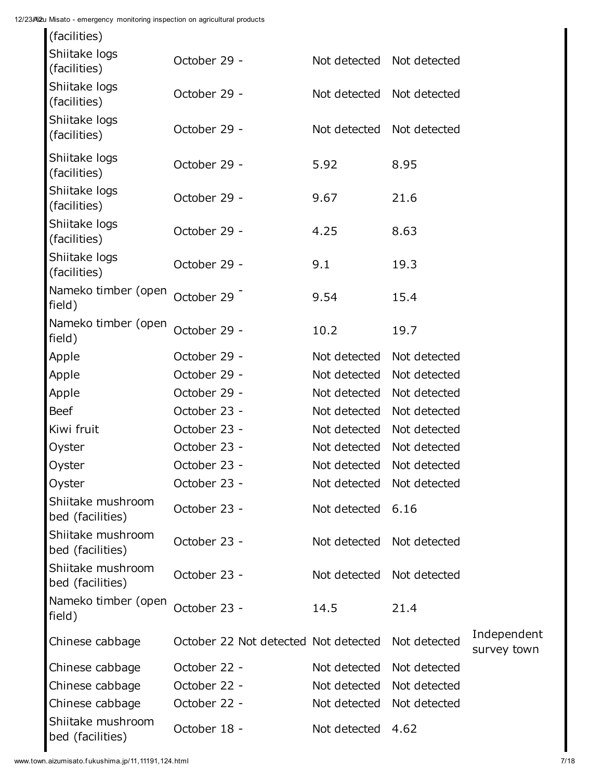| (facilities)                          |                                      |                           |              |                            |
|---------------------------------------|--------------------------------------|---------------------------|--------------|----------------------------|
| Shiitake logs<br>(facilities)         | October 29 -                         | Not detected Not detected |              |                            |
| Shiitake logs<br>(facilities)         | October 29 -                         | Not detected              | Not detected |                            |
| Shiitake logs<br>(facilities)         | October 29 -                         | Not detected              | Not detected |                            |
| Shiitake logs<br>(facilities)         | October 29 -                         | 5.92                      | 8.95         |                            |
| Shiitake logs<br>(facilities)         | October 29 -                         | 9.67                      | 21.6         |                            |
| Shiitake logs<br>(facilities)         | October 29 -                         | 4.25                      | 8.63         |                            |
| Shiitake logs<br>(facilities)         | October 29 -                         | 9.1                       | 19.3         |                            |
| Nameko timber (open<br>field)         | October 29                           | 9.54                      | 15.4         |                            |
| Nameko timber (open<br>field)         | October 29 -                         | 10.2                      | 19.7         |                            |
| Apple                                 | October 29 -                         | Not detected              | Not detected |                            |
| Apple                                 | October 29 -                         | Not detected              | Not detected |                            |
| Apple                                 | October 29 -                         | Not detected              | Not detected |                            |
| <b>Beef</b>                           | October 23 -                         | Not detected              | Not detected |                            |
| Kiwi fruit                            | October 23 -                         | Not detected              | Not detected |                            |
| Oyster                                | October 23 -                         | Not detected              | Not detected |                            |
| Oyster                                | October 23 -                         | Not detected              | Not detected |                            |
| Oyster                                | October 23 -                         | Not detected Not detected |              |                            |
| Shiitake mushroom<br>bed (facilities) | October 23 -                         | Not detected 6.16         |              |                            |
| Shiitake mushroom<br>bed (facilities) | October 23 -                         | Not detected              | Not detected |                            |
| Shiitake mushroom<br>bed (facilities) | October 23 -                         | Not detected Not detected |              |                            |
| Nameko timber (open<br>field)         | October 23 -                         | 14.5                      | 21.4         |                            |
| Chinese cabbage                       | October 22 Not detected Not detected |                           | Not detected | Independent<br>survey town |
| Chinese cabbage                       | October 22 -                         | Not detected              | Not detected |                            |
| Chinese cabbage                       | October 22 -                         | Not detected              | Not detected |                            |
| Chinese cabbage                       | October 22 -                         | Not detected              | Not detected |                            |
| Shiitake mushroom<br>bed (facilities) | October 18 -                         | Not detected              | 4.62         |                            |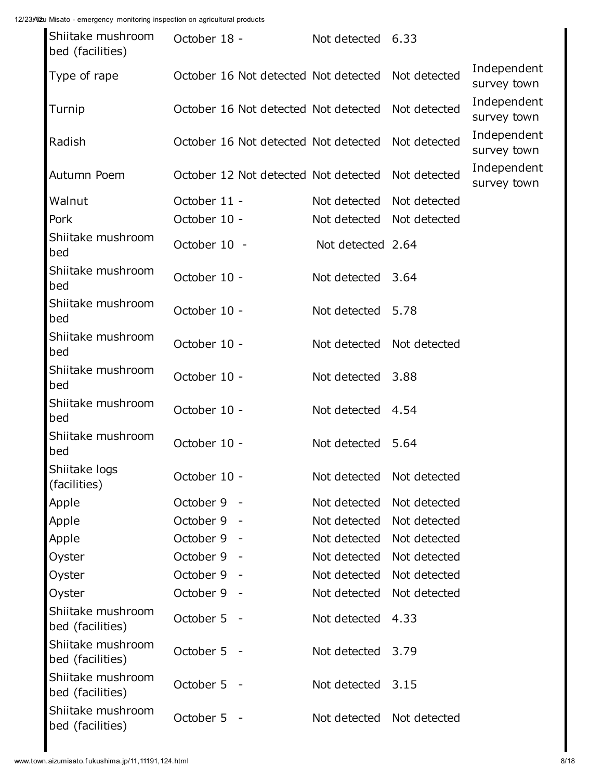| Shiitake mushroom<br>bed (facilities) | October 18 - |            | Not detected 6.33                    |              |                            |
|---------------------------------------|--------------|------------|--------------------------------------|--------------|----------------------------|
| Type of rape                          |              |            | October 16 Not detected Not detected | Not detected | Independent<br>survey town |
| Turnip                                |              |            | October 16 Not detected Not detected | Not detected | Independent<br>survey town |
| Radish                                |              |            | October 16 Not detected Not detected | Not detected | Independent<br>survey town |
| Autumn Poem                           |              |            | October 12 Not detected Not detected | Not detected | Independent<br>survey town |
| Walnut                                | October 11 - |            | Not detected                         | Not detected |                            |
| Pork                                  | October 10 - |            | Not detected Not detected            |              |                            |
| Shiitake mushroom<br>bed              | October 10 - |            | Not detected 2.64                    |              |                            |
| Shiitake mushroom<br>bed              | October 10 - |            | Not detected 3.64                    |              |                            |
| Shiitake mushroom<br>bed              | October 10 - |            | Not detected                         | 5.78         |                            |
| Shiitake mushroom<br>bed              | October 10 - |            | Not detected Not detected            |              |                            |
| Shiitake mushroom<br>bed              | October 10 - |            | Not detected 3.88                    |              |                            |
| Shiitake mushroom<br>bed              | October 10 - |            | Not detected 4.54                    |              |                            |
| Shiitake mushroom<br>bed              | October 10 - |            | Not detected 5.64                    |              |                            |
| Shiitake logs<br>(facilities)         | October 10 - |            | Not detected                         | Not detected |                            |
| Apple                                 | October 9    |            | Not detected                         | Not detected |                            |
| Apple                                 | October 9    |            | Not detected                         | Not detected |                            |
| Apple                                 | October 9    |            | Not detected                         | Not detected |                            |
| Oyster                                | October 9    |            | Not detected                         | Not detected |                            |
| Oyster                                | October 9    |            | Not detected                         | Not detected |                            |
| Oyster                                | October 9    |            | Not detected                         | Not detected |                            |
| Shiitake mushroom<br>bed (facilities) | October 5 -  |            | Not detected                         | 4.33         |                            |
| Shiitake mushroom<br>bed (facilities) | October 5    | $\sim$ $-$ | Not detected                         | 3.79         |                            |
| Shiitake mushroom<br>bed (facilities) | October 5 -  |            | Not detected                         | 3.15         |                            |
| Shiitake mushroom<br>bed (facilities) | October 5 -  |            | Not detected                         | Not detected |                            |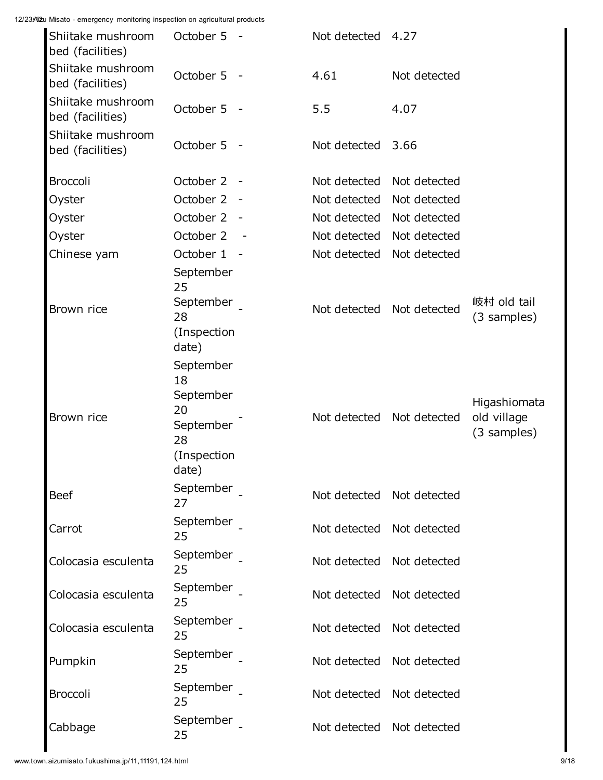| Shiitake mushroom<br>bed (facilities) | October 5 -                                                                   |            | Not detected              | 4.27                      |                                            |
|---------------------------------------|-------------------------------------------------------------------------------|------------|---------------------------|---------------------------|--------------------------------------------|
| Shiitake mushroom<br>bed (facilities) | October 5 -                                                                   |            | 4.61                      | Not detected              |                                            |
| Shiitake mushroom<br>bed (facilities) | October 5 -                                                                   |            | 5.5                       | 4.07                      |                                            |
| Shiitake mushroom<br>bed (facilities) | October 5                                                                     | $\sim$ $-$ | Not detected              | 3.66                      |                                            |
| <b>Broccoli</b>                       | October 2                                                                     | $\sim$ $-$ | Not detected              | Not detected              |                                            |
| Oyster                                | October 2                                                                     |            | Not detected              | Not detected              |                                            |
| Oyster                                | October 2                                                                     | $\sim$ $-$ | Not detected              | Not detected              |                                            |
| Oyster                                | October 2                                                                     |            | Not detected              | Not detected              |                                            |
| Chinese yam                           | October 1                                                                     | $\sim$ $-$ | Not detected              | Not detected              |                                            |
| Brown rice                            | September<br>25<br>September<br>28<br>(Inspection<br>date)                    |            | Not detected Not detected |                           | 岐村 old tail<br>(3 samples)                 |
| Brown rice                            | September<br>18<br>September<br>20<br>September<br>28<br>(Inspection<br>date) |            |                           | Not detected Not detected | Higashiomata<br>old village<br>(3 samples) |
| <b>Beef</b>                           | September<br>27                                                               |            | Not detected Not detected |                           |                                            |
| Carrot                                | September<br>25                                                               |            | Not detected Not detected |                           |                                            |
| Colocasia esculenta                   | September<br>25                                                               |            | Not detected              | Not detected              |                                            |
| Colocasia esculenta                   | September<br>25                                                               |            | Not detected              | Not detected              |                                            |
| Colocasia esculenta                   | September<br>25                                                               |            | Not detected              | Not detected              |                                            |
| Pumpkin                               | September<br>25                                                               |            | Not detected              | Not detected              |                                            |
| <b>Broccoli</b>                       | September<br>25                                                               |            | Not detected              | Not detected              |                                            |
| Cabbage                               | September<br>25                                                               |            | Not detected              | Not detected              |                                            |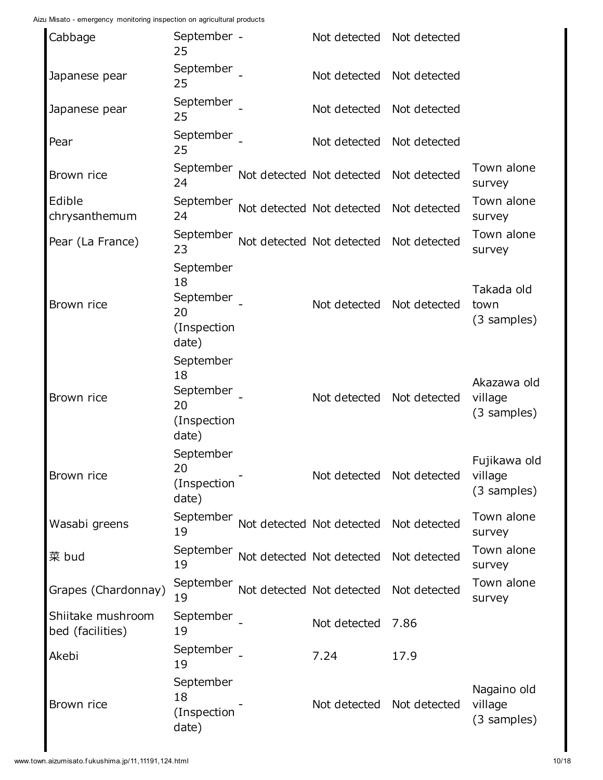| Cabbage                               | September -<br>25                                          | Not detected Not detected                        |              |                                        |
|---------------------------------------|------------------------------------------------------------|--------------------------------------------------|--------------|----------------------------------------|
| Japanese pear                         | September<br>25                                            | Not detected Not detected                        |              |                                        |
| Japanese pear                         | September<br>25                                            | Not detected Not detected                        |              |                                        |
| Pear                                  | September<br>25                                            | Not detected Not detected                        |              |                                        |
| Brown rice                            | September<br>24                                            | Not detected Not detected Not detected           |              | Town alone<br>survey                   |
| Edible<br>chrysanthemum               | 24                                                         | September Not detected Not detected Not detected |              | Town alone<br>survey                   |
| Pear (La France)                      | 23                                                         | September Not detected Not detected Not detected |              | Town alone<br>survey                   |
| Brown rice                            | September<br>18<br>September<br>20<br>(Inspection<br>date) | Not detected                                     | Not detected | Takada old<br>town<br>(3 samples)      |
| Brown rice                            | September<br>18<br>September<br>20<br>(Inspection<br>date) | Not detected Not detected                        |              | Akazawa old<br>village<br>(3 samples)  |
| Brown rice                            | September<br>20<br>(Inspection<br>date)                    | Not detected Not detected                        |              | Fujikawa old<br>village<br>(3 samples) |
| Wasabi greens                         | September<br>19                                            | Not detected Not detected Not detected           |              | Town alone<br>survey                   |
| 菜 bud                                 | September<br>19                                            | Not detected Not detected Not detected           |              | Town alone<br>survey                   |
| Grapes (Chardonnay)                   | 19                                                         | September Not detected Not detected Not detected |              | Town alone<br>survey                   |
| Shiitake mushroom<br>bed (facilities) | September<br>19                                            | Not detected                                     | 7.86         |                                        |
| Akebi                                 | September<br>19                                            | 7.24                                             | 17.9         |                                        |
| Brown rice                            | September<br>18<br>(Inspection<br>date)                    | Not detected                                     | Not detected | Nagaino old<br>village<br>(3 samples)  |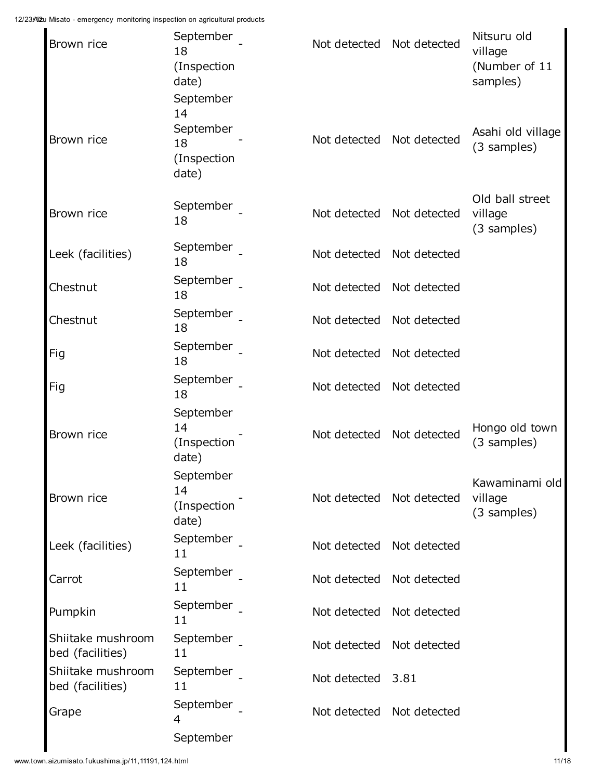| Brown rice                            | September<br>18<br>(Inspection<br>date)<br>September | Not detected Not detected |                           | Nitsuru old<br>village<br>(Number of 11<br>samples) |
|---------------------------------------|------------------------------------------------------|---------------------------|---------------------------|-----------------------------------------------------|
| Brown rice                            | 14<br>September<br>18<br>(Inspection<br>date)        | Not detected              | Not detected              | Asahi old village<br>(3 samples)                    |
| Brown rice                            | September<br>18                                      | Not detected              | Not detected              | Old ball street<br>village<br>(3 samples)           |
| Leek (facilities)                     | September<br>18                                      | Not detected              | Not detected              |                                                     |
| Chestnut                              | September<br>18                                      | Not detected              | Not detected              |                                                     |
| Chestnut                              | September<br>18                                      | Not detected              | Not detected              |                                                     |
| Fig                                   | September<br>18                                      | Not detected              | Not detected              |                                                     |
| Fig                                   | September<br>18                                      |                           | Not detected Not detected |                                                     |
| Brown rice                            | September<br>14<br>(Inspection<br>date)              | Not detected              | Not detected              | Hongo old town<br>(3 samples)                       |
| Brown rice                            | September<br>14<br>(Inspection<br>date)              | Not detected              | Not detected              | Kawaminami old<br>village<br>(3 samples)            |
| Leek (facilities)                     | September<br>11                                      | Not detected              | Not detected              |                                                     |
| Carrot                                | September<br>11                                      | Not detected              | Not detected              |                                                     |
| Pumpkin                               | September<br>11                                      | Not detected Not detected |                           |                                                     |
| Shiitake mushroom<br>bed (facilities) | September<br>11                                      | Not detected              | Not detected              |                                                     |
| Shiitake mushroom<br>bed (facilities) | September<br>11                                      | Not detected 3.81         |                           |                                                     |
| Grape                                 | September<br>4                                       | Not detected Not detected |                           |                                                     |
|                                       | September                                            |                           |                           |                                                     |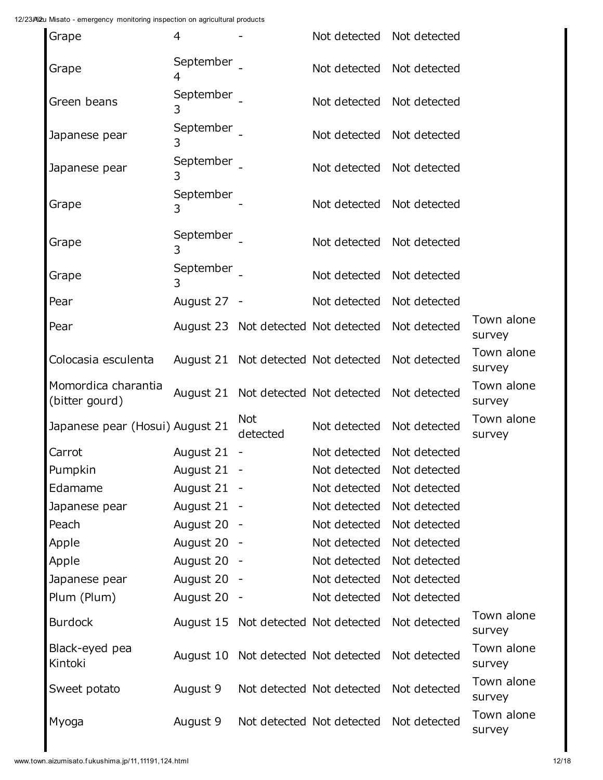| 4                               |                        |                                                                                                                                                             |                                                                                                                                                                             |                                                                                                                                                                                                                                                                                          |
|---------------------------------|------------------------|-------------------------------------------------------------------------------------------------------------------------------------------------------------|-----------------------------------------------------------------------------------------------------------------------------------------------------------------------------|------------------------------------------------------------------------------------------------------------------------------------------------------------------------------------------------------------------------------------------------------------------------------------------|
| September<br>4                  |                        |                                                                                                                                                             |                                                                                                                                                                             |                                                                                                                                                                                                                                                                                          |
| September<br>3                  |                        | Not detected                                                                                                                                                | Not detected                                                                                                                                                                |                                                                                                                                                                                                                                                                                          |
| 3                               |                        |                                                                                                                                                             |                                                                                                                                                                             |                                                                                                                                                                                                                                                                                          |
| 3                               |                        |                                                                                                                                                             |                                                                                                                                                                             |                                                                                                                                                                                                                                                                                          |
| September<br>3                  |                        |                                                                                                                                                             |                                                                                                                                                                             |                                                                                                                                                                                                                                                                                          |
| September<br>3                  |                        | Not detected                                                                                                                                                | Not detected                                                                                                                                                                |                                                                                                                                                                                                                                                                                          |
|                                 |                        |                                                                                                                                                             | Not detected                                                                                                                                                                |                                                                                                                                                                                                                                                                                          |
|                                 |                        | Not detected                                                                                                                                                | Not detected                                                                                                                                                                |                                                                                                                                                                                                                                                                                          |
|                                 |                        |                                                                                                                                                             | Not detected                                                                                                                                                                | Town alone<br>survey                                                                                                                                                                                                                                                                     |
|                                 |                        |                                                                                                                                                             | Not detected                                                                                                                                                                | Town alone<br>survey                                                                                                                                                                                                                                                                     |
|                                 |                        |                                                                                                                                                             | Not detected                                                                                                                                                                | Town alone<br>survey                                                                                                                                                                                                                                                                     |
| Japanese pear (Hosui) August 21 | <b>Not</b><br>detected | Not detected                                                                                                                                                | Not detected                                                                                                                                                                | Town alone<br>survey                                                                                                                                                                                                                                                                     |
| August 21                       |                        |                                                                                                                                                             | Not detected                                                                                                                                                                |                                                                                                                                                                                                                                                                                          |
| August 21                       |                        |                                                                                                                                                             |                                                                                                                                                                             |                                                                                                                                                                                                                                                                                          |
|                                 |                        | Not detected                                                                                                                                                | Not detected                                                                                                                                                                |                                                                                                                                                                                                                                                                                          |
|                                 |                        | Not detected                                                                                                                                                | Not detected                                                                                                                                                                |                                                                                                                                                                                                                                                                                          |
|                                 |                        | Not detected                                                                                                                                                | Not detected                                                                                                                                                                |                                                                                                                                                                                                                                                                                          |
|                                 |                        | Not detected                                                                                                                                                | Not detected                                                                                                                                                                |                                                                                                                                                                                                                                                                                          |
|                                 |                        | Not detected                                                                                                                                                | Not detected                                                                                                                                                                |                                                                                                                                                                                                                                                                                          |
|                                 |                        | Not detected                                                                                                                                                | Not detected                                                                                                                                                                |                                                                                                                                                                                                                                                                                          |
|                                 |                        | Not detected                                                                                                                                                | Not detected                                                                                                                                                                |                                                                                                                                                                                                                                                                                          |
|                                 |                        |                                                                                                                                                             | Not detected                                                                                                                                                                | Town alone<br>survey                                                                                                                                                                                                                                                                     |
|                                 |                        |                                                                                                                                                             | Not detected                                                                                                                                                                | Town alone<br>survey                                                                                                                                                                                                                                                                     |
| August 9                        |                        |                                                                                                                                                             | Not detected                                                                                                                                                                | Town alone<br>survey                                                                                                                                                                                                                                                                     |
| August 9                        |                        |                                                                                                                                                             | Not detected                                                                                                                                                                | Town alone<br>survey                                                                                                                                                                                                                                                                     |
|                                 |                        | September<br>September<br>September<br>August 27 -<br>August 21 -<br>August 21 -<br>August 20 -<br>August 20 -<br>August 20 -<br>August 20 -<br>August 20 - | August 23 Not detected Not detected<br>August 15 Not detected Not detected<br>August 10 Not detected Not detected<br>Not detected Not detected<br>Not detected Not detected | Not detected Not detected<br>Not detected Not detected<br>Not detected Not detected<br>Not detected Not detected<br>Not detected Not detected<br>Not detected<br>August 21 Not detected Not detected<br>August 21 Not detected Not detected<br>Not detected<br>Not detected Not detected |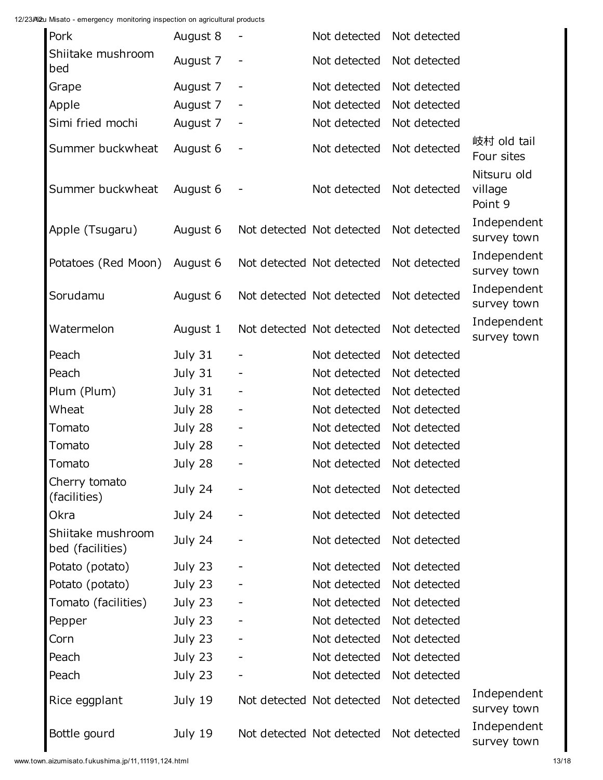| Pork                                  | August 8 |                              | Not detected              | Not detected |                                   |
|---------------------------------------|----------|------------------------------|---------------------------|--------------|-----------------------------------|
| Shiitake mushroom<br>bed              | August 7 |                              | Not detected              | Not detected |                                   |
| Grape                                 | August 7 | ۰                            | Not detected              | Not detected |                                   |
| Apple                                 | August 7 | $\overline{\phantom{a}}$     | Not detected              | Not detected |                                   |
| Simi fried mochi                      | August 7 |                              | Not detected              | Not detected |                                   |
| Summer buckwheat                      | August 6 | $\overline{a}$               | Not detected              | Not detected | 岐村 old tail<br>Four sites         |
| Summer buckwheat                      | August 6 |                              | Not detected              | Not detected | Nitsuru old<br>village<br>Point 9 |
| Apple (Tsugaru)                       | August 6 |                              | Not detected Not detected | Not detected | Independent<br>survey town        |
| Potatoes (Red Moon)                   | August 6 |                              | Not detected Not detected | Not detected | Independent<br>survey town        |
| Sorudamu                              | August 6 |                              | Not detected Not detected | Not detected | Independent<br>survey town        |
| Watermelon                            | August 1 |                              | Not detected Not detected | Not detected | Independent<br>survey town        |
| Peach                                 | July 31  |                              | Not detected              | Not detected |                                   |
| Peach                                 | July 31  |                              | Not detected              | Not detected |                                   |
| Plum (Plum)                           | July 31  |                              | Not detected              | Not detected |                                   |
| Wheat                                 | July 28  | $\qquad \qquad \blacksquare$ | Not detected              | Not detected |                                   |
| Tomato                                | July 28  | -                            | Not detected              | Not detected |                                   |
| Tomato                                | July 28  | -                            | Not detected              | Not detected |                                   |
| Tomato                                | July 28  | ۰                            | Not detected              | Not detected |                                   |
| Cherry tomato<br>(facilities)         | July 24  |                              | Not detected              | Not detected |                                   |
| Okra                                  | July 24  |                              | Not detected              | Not detected |                                   |
| Shiitake mushroom<br>bed (facilities) | July 24  |                              | Not detected              | Not detected |                                   |
| Potato (potato)                       | July 23  |                              | Not detected              | Not detected |                                   |
| Potato (potato)                       | July 23  |                              | Not detected              | Not detected |                                   |
| Tomato (facilities)                   | July 23  |                              | Not detected              | Not detected |                                   |
| Pepper                                | July 23  |                              | Not detected              | Not detected |                                   |
| Corn                                  | July 23  |                              | Not detected              | Not detected |                                   |
| Peach                                 | July 23  |                              | Not detected              | Not detected |                                   |
| Peach                                 | July 23  |                              | Not detected              | Not detected |                                   |
| Rice eggplant                         | July 19  |                              | Not detected Not detected | Not detected | Independent<br>survey town        |
| Bottle gourd                          | July 19  |                              | Not detected Not detected | Not detected | Independent<br>survey town        |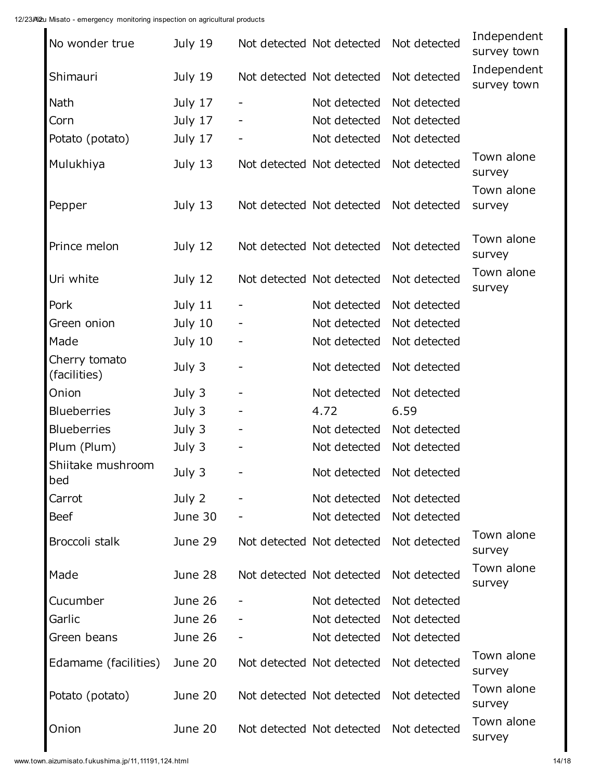| No wonder true                | July 19 |                              | Not detected Not detected | Not detected | Independent<br>survey town |
|-------------------------------|---------|------------------------------|---------------------------|--------------|----------------------------|
| Shimauri                      | July 19 |                              | Not detected Not detected | Not detected | Independent<br>survey town |
| Nath                          | July 17 | ۰                            | Not detected              | Not detected |                            |
| Corn                          | July 17 |                              | Not detected              | Not detected |                            |
| Potato (potato)               | July 17 | -                            | Not detected              | Not detected |                            |
| Mulukhiya                     | July 13 |                              | Not detected Not detected | Not detected | Town alone<br>survey       |
| Pepper                        | July 13 |                              | Not detected Not detected | Not detected | Town alone<br>survey       |
| Prince melon                  | July 12 |                              | Not detected Not detected | Not detected | Town alone<br>survey       |
| Uri white                     | July 12 |                              | Not detected Not detected | Not detected | Town alone<br>survey       |
| Pork                          | July 11 |                              | Not detected              | Not detected |                            |
| Green onion                   | July 10 |                              | Not detected              | Not detected |                            |
| Made                          | July 10 |                              | Not detected              | Not detected |                            |
| Cherry tomato<br>(facilities) | July 3  | $\qquad \qquad \blacksquare$ | Not detected              | Not detected |                            |
| Onion                         | July 3  |                              | Not detected              | Not detected |                            |
| <b>Blueberries</b>            | July 3  |                              | 4.72                      | 6.59         |                            |
| <b>Blueberries</b>            | July 3  |                              | Not detected              | Not detected |                            |
| Plum (Plum)                   | July 3  |                              | Not detected              | Not detected |                            |
| Shiitake mushroom<br>bed      | July 3  |                              | Not detected Not detected |              |                            |
| Carrot                        | July 2  |                              | Not detected              | Not detected |                            |
| <b>Beef</b>                   | June 30 |                              | Not detected              | Not detected |                            |
| Broccoli stalk                | June 29 |                              | Not detected Not detected | Not detected | Town alone<br>survey       |
| Made                          | June 28 |                              | Not detected Not detected | Not detected | Town alone<br>survey       |
| Cucumber                      | June 26 |                              | Not detected              | Not detected |                            |
| Garlic                        | June 26 |                              | Not detected              | Not detected |                            |
| Green beans                   | June 26 |                              | Not detected              | Not detected |                            |
| Edamame (facilities)          | June 20 |                              | Not detected Not detected | Not detected | Town alone<br>survey       |
| Potato (potato)               | June 20 |                              | Not detected Not detected | Not detected | Town alone<br>survey       |
| Onion                         | June 20 |                              | Not detected Not detected | Not detected | Town alone<br>survey       |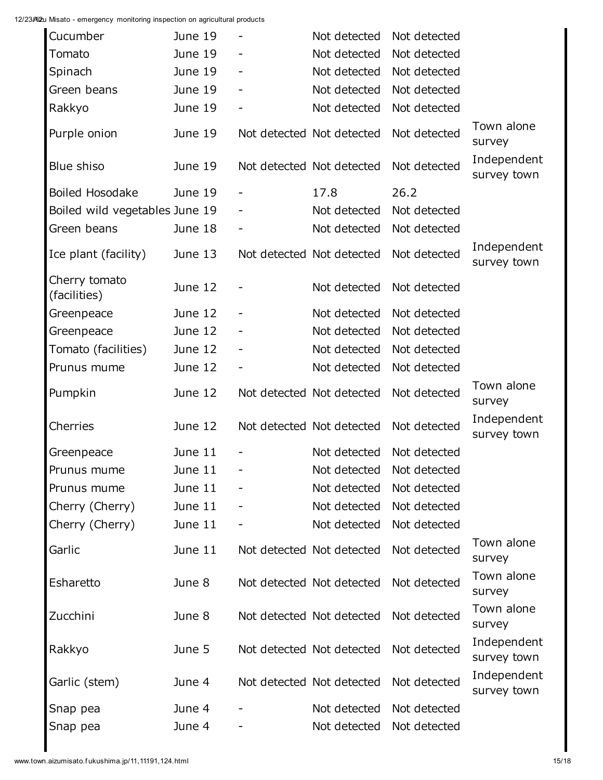| Cucumber                       | June 19 |                              | Not detected              | Not detected |                            |
|--------------------------------|---------|------------------------------|---------------------------|--------------|----------------------------|
| Tomato                         | June 19 |                              | Not detected              | Not detected |                            |
| Spinach                        | June 19 |                              | Not detected              | Not detected |                            |
| Green beans                    | June 19 | $\qquad \qquad \blacksquare$ | Not detected              | Not detected |                            |
| Rakkyo                         | June 19 | $\qquad \qquad -$            | Not detected              | Not detected |                            |
| Purple onion                   | June 19 |                              | Not detected Not detected | Not detected | Town alone<br>survey       |
| Blue shiso                     | June 19 |                              | Not detected Not detected | Not detected | Independent<br>survey town |
| Boiled Hosodake                | June 19 |                              | 17.8                      | 26.2         |                            |
| Boiled wild vegetables June 19 |         |                              | Not detected              | Not detected |                            |
| Green beans                    | June 18 |                              | Not detected              | Not detected |                            |
| Ice plant (facility)           | June 13 |                              | Not detected Not detected | Not detected | Independent<br>survey town |
| Cherry tomato<br>(facilities)  | June 12 |                              | Not detected              | Not detected |                            |
| Greenpeace                     | June 12 | $\qquad \qquad \blacksquare$ | Not detected              | Not detected |                            |
| Greenpeace                     | June 12 |                              | Not detected              | Not detected |                            |
| Tomato (facilities)            | June 12 | $\qquad \qquad \blacksquare$ | Not detected              | Not detected |                            |
| Prunus mume                    | June 12 |                              | Not detected              | Not detected |                            |
| Pumpkin                        | June 12 |                              | Not detected Not detected | Not detected | Town alone<br>survey       |
| Cherries                       | June 12 |                              | Not detected Not detected | Not detected | Independent<br>survey town |
| Greenpeace                     | June 11 |                              | Not detected              | Not detected |                            |
| Prunus mume                    | June 11 |                              | Not detected Not detected |              |                            |
| Prunus mume                    | June 11 |                              | Not detected              | Not detected |                            |
| Cherry (Cherry)                | June 11 |                              | Not detected              | Not detected |                            |
| Cherry (Cherry)                | June 11 |                              | Not detected              | Not detected |                            |
| Garlic                         | June 11 |                              | Not detected Not detected | Not detected | Town alone<br>survey       |
| Esharetto                      | June 8  |                              | Not detected Not detected | Not detected | Town alone<br>survey       |
| Zucchini                       | June 8  |                              | Not detected Not detected | Not detected | Town alone<br>survey       |
| Rakkyo                         | June 5  |                              | Not detected Not detected | Not detected | Independent<br>survey town |
| Garlic (stem)                  | June 4  |                              | Not detected Not detected | Not detected | Independent<br>survey town |
| Snap pea                       | June 4  |                              | Not detected              | Not detected |                            |
| Snap pea                       | June 4  |                              | Not detected              | Not detected |                            |
|                                |         |                              |                           |              |                            |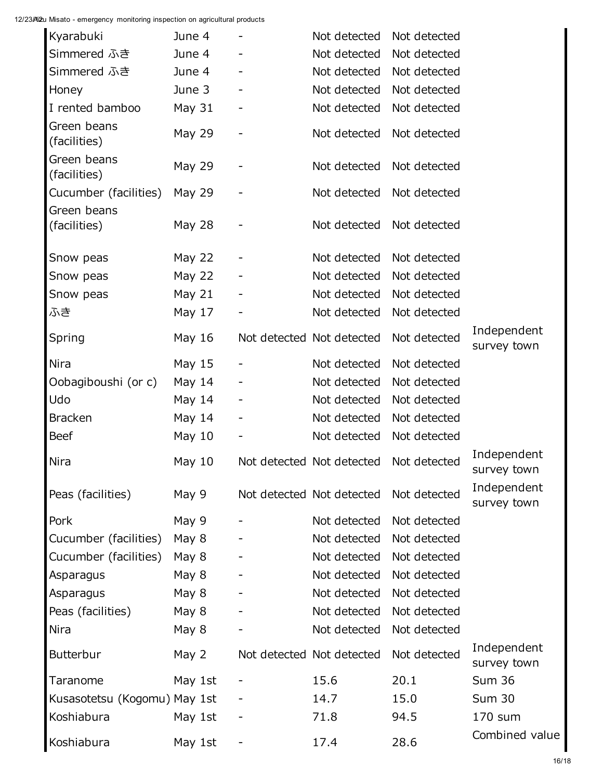| Kyarabuki                            | June 4        |                          | Not detected              | Not detected |                            |
|--------------------------------------|---------------|--------------------------|---------------------------|--------------|----------------------------|
| Simmered ふき                          | June 4        |                          | Not detected              | Not detected |                            |
| Simmered ふき                          | June 4        |                          | Not detected              | Not detected |                            |
| Honey                                | June 3        |                          | Not detected              | Not detected |                            |
| I rented bamboo                      | <b>May 31</b> | -                        | Not detected              | Not detected |                            |
| Green beans<br>(facilities)          | May 29        | $\overline{\phantom{0}}$ | Not detected              | Not detected |                            |
| Green beans<br>(facilities)          | May 29        | $\overline{\phantom{0}}$ | Not detected Not detected |              |                            |
| Cucumber (facilities)<br>Green beans | May 29        |                          | Not detected              | Not detected |                            |
| (facilities)                         | <b>May 28</b> | -                        | Not detected              | Not detected |                            |
| Snow peas                            | May 22        | -                        | Not detected              | Not detected |                            |
| Snow peas                            | May $22$      | $\overline{\phantom{a}}$ | Not detected              | Not detected |                            |
| Snow peas                            | May $21$      | -                        | Not detected              | Not detected |                            |
| ふき                                   | May $17$      | $\overline{\phantom{a}}$ | Not detected              | Not detected |                            |
| Spring                               | May 16        |                          | Not detected Not detected | Not detected | Independent<br>survey town |
| Nira                                 | May $15$      |                          | Not detected              | Not detected |                            |
| Oobagiboushi (or c)                  | May 14        | $\overline{\phantom{a}}$ | Not detected              | Not detected |                            |
| Udo                                  | May $14$      | -                        | Not detected              | Not detected |                            |
| <b>Bracken</b>                       | May $14$      | $\overline{\phantom{a}}$ | Not detected              | Not detected |                            |
| <b>Beef</b>                          | May $10$      | -                        | Not detected              | Not detected |                            |
| Nira                                 | May $10$      |                          | Not detected Not detected | Not detected | Independent<br>survey town |
| Peas (facilities)                    | May 9         |                          | Not detected Not detected | Not detected | Independent<br>survey town |
| Pork                                 | May 9         |                          | Not detected              | Not detected |                            |
| Cucumber (facilities)                | May 8         |                          | Not detected              | Not detected |                            |
| Cucumber (facilities)                | May 8         |                          | Not detected              | Not detected |                            |
| Asparagus                            | May 8         |                          | Not detected              | Not detected |                            |
| Asparagus                            | May 8         |                          | Not detected              | Not detected |                            |
| Peas (facilities)                    | May 8         |                          | Not detected              | Not detected |                            |
| Nira                                 | May 8         |                          | Not detected              | Not detected |                            |
| <b>Butterbur</b>                     | May 2         |                          | Not detected Not detected | Not detected | Independent<br>survey town |
| Taranome                             | May 1st       |                          | 15.6                      | 20.1         | <b>Sum 36</b>              |
| Kusasotetsu (Kogomu) May 1st         |               |                          | 14.7                      | 15.0         | <b>Sum 30</b>              |
| Koshiabura                           | May 1st       | -                        | 71.8                      | 94.5         | 170 sum                    |
| Koshiabura                           | May 1st       | -                        | 17.4                      | 28.6         | Combined value             |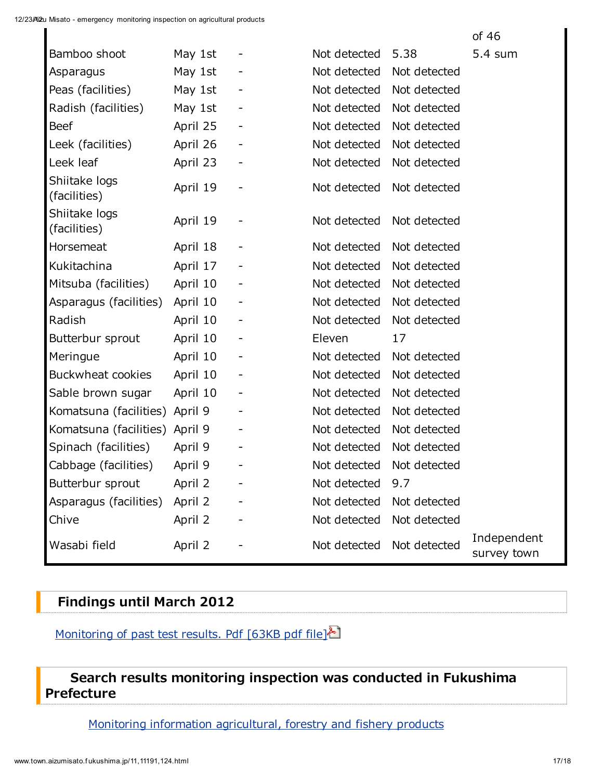|                                |          |                              |              |              | of 46                      |
|--------------------------------|----------|------------------------------|--------------|--------------|----------------------------|
| Bamboo shoot                   | May 1st  |                              | Not detected | 5.38         | 5.4 sum                    |
| Asparagus                      | May 1st  |                              | Not detected | Not detected |                            |
| Peas (facilities)              | May 1st  |                              | Not detected | Not detected |                            |
| Radish (facilities)            | May 1st  |                              | Not detected | Not detected |                            |
| <b>Beef</b>                    | April 25 | -                            | Not detected | Not detected |                            |
| Leek (facilities)              | April 26 | -                            | Not detected | Not detected |                            |
| Leek leaf                      | April 23 | $\overline{\phantom{a}}$     | Not detected | Not detected |                            |
| Shiitake logs<br>(facilities)  | April 19 | ۰                            | Not detected | Not detected |                            |
| Shiitake logs<br>(facilities)  | April 19 | ۰                            | Not detected | Not detected |                            |
| Horsemeat                      | April 18 | ۰                            | Not detected | Not detected |                            |
| Kukitachina                    | April 17 | ۰                            | Not detected | Not detected |                            |
| Mitsuba (facilities)           | April 10 |                              | Not detected | Not detected |                            |
| Asparagus (facilities)         | April 10 | ۰                            | Not detected | Not detected |                            |
| Radish                         | April 10 |                              | Not detected | Not detected |                            |
| Butterbur sprout               | April 10 | -                            | Eleven       | 17           |                            |
| Meringue                       | April 10 | ۰                            | Not detected | Not detected |                            |
| Buckwheat cookies              | April 10 | -                            | Not detected | Not detected |                            |
| Sable brown sugar              | April 10 | ۰                            | Not detected | Not detected |                            |
| Komatsuna (facilities) April 9 |          | $\qquad \qquad \blacksquare$ | Not detected | Not detected |                            |
| Komatsuna (facilities) April 9 |          |                              | Not detected | Not detected |                            |
| Spinach (facilities)           | April 9  |                              | Not detected | Not detected |                            |
| Cabbage (facilities)           | April 9  | $\qquad \qquad \blacksquare$ | Not detected | Not detected |                            |
| Butterbur sprout               | April 2  |                              | Not detected | 9.7          |                            |
| Asparagus (facilities)         | April 2  |                              | Not detected | Not detected |                            |
| Chive                          | April 2  |                              | Not detected | Not detected |                            |
| Wasabi field                   | April 2  |                              | Not detected | Not detected | Independent<br>survey town |

## Findings until March 2012

[Monitoring](http://www.town.aizumisato.fukushima.jp/resources/content/11191/20120417-131659.pdf) of past test results. Pdf [63KB pdf file]

### Search results monitoring inspection was conducted in Fukushima Prefecture

Monitoring information [agricultural,](http://www.new-fukushima.jp/monitoring.php) forestry and fishery products